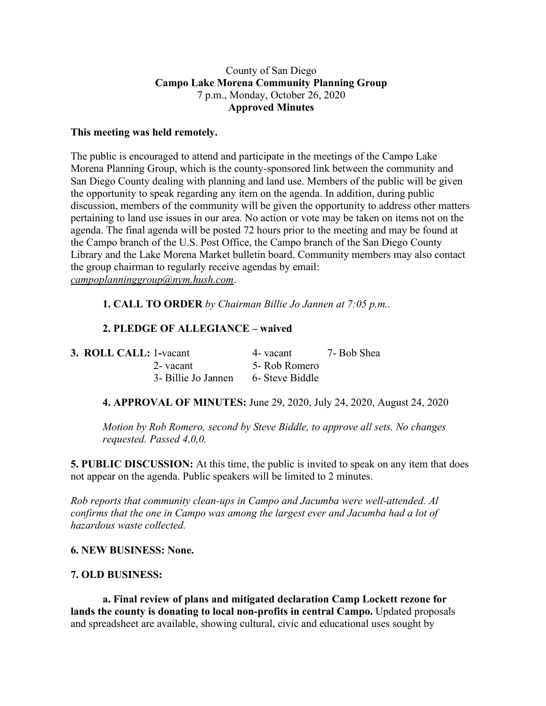### County of San Diego **Campo Lake Morena Community Planning Group** 7 p.m., Monday, October 26, 2020 **Approved Minutes**

### **This meeting was held remotely.**

The public is encouraged to attend and participate in the meetings of the Campo Lake Morena Planning Group, which is the county-sponsored link between the community and San Diego County dealing with planning and land use. Members of the public will be given the opportunity to speak regarding any item on the agenda. In addition, during public discussion, members of the community will be given the opportunity to address other matters pertaining to land use issues in our area. No action or vote may be taken on items not on the agenda. The final agenda will be posted 72 hours prior to the meeting and may be found at the Campo branch of the U.S. Post Office, the Campo branch of the San Diego County Library and the Lake Morena Market bulletin board. Community members may also contact the group chairman to regularly receive agendas by email: *campoplanninggroup@nym.hush.com*.

## **1. CALL TO ORDER** *by Chairman Billie Jo Jannen at 7:05 p.m..*

# **2. PLEDGE OF ALLEGIANCE – waived**

| <b>3. ROLL CALL: 1-vacant</b> |                     | 4- vacant       | 7- Bob Shea |
|-------------------------------|---------------------|-----------------|-------------|
|                               | 2- vacant           | 5- Rob Romero   |             |
|                               | 3- Billie Jo Jannen | 6- Steve Biddle |             |

**4. APPROVAL OF MINUTES:** June 29, 2020, July 24, 2020, August 24, 2020

*Motion by Rob Romero, second by Steve Biddle, to approve all sets. No changes requested. Passed 4,0,0.*

**5. PUBLIC DISCUSSION:** At this time, the public is invited to speak on any item that does not appear on the agenda. Public speakers will be limited to 2 minutes.

*Rob reports that community clean-ups in Campo and Jacumba were well-attended. Al confirms that the one in Campo was among the largest ever and Jacumba had a lot of hazardous waste collected.*

**6. NEW BUSINESS: None.**

## **7. OLD BUSINESS:**

**a. Final review of plans and mitigated declaration Camp Lockett rezone for lands the county is donating to local non-profits in central Campo.** Updated proposals and spreadsheet are available, showing cultural, civic and educational uses sought by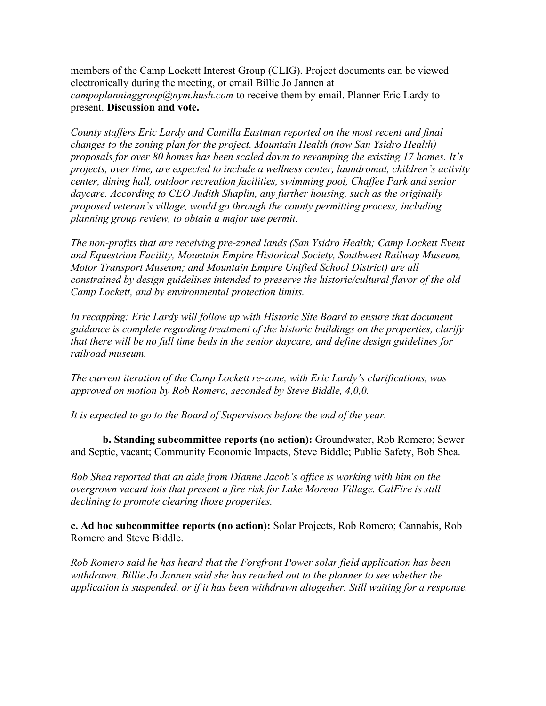members of the Camp Lockett Interest Group (CLIG). Project documents can be viewed electronically during the meeting, or email Billie Jo Jannen at *campoplanninggroup*@nym.hush.com to receive them by email. Planner Eric Lardy to present. **Discussion and vote.**

*County staffers Eric Lardy and Camilla Eastman reported on the most recent and final changes to the zoning plan for the project. Mountain Health (now San Ysidro Health) proposals for over 80 homes has been scaled down to revamping the existing 17 homes. It's projects, over time, are expected to include a wellness center, laundromat, children's activity center, dining hall, outdoor recreation facilities, swimming pool, Chaffee Park and senior daycare. According to CEO Judith Shaplin, any further housing, such as the originally proposed veteran's village, would go through the county permitting process, including planning group review, to obtain a major use permit.*

*The non-profits that are receiving pre-zoned lands (San Ysidro Health; Camp Lockett Event and Equestrian Facility, Mountain Empire Historical Society, Southwest Railway Museum, Motor Transport Museum; and Mountain Empire Unified School District) are all constrained by design guidelines intended to preserve the historic/cultural flavor of the old Camp Lockett, and by environmental protection limits.*

*In recapping: Eric Lardy will follow up with Historic Site Board to ensure that document guidance is complete regarding treatment of the historic buildings on the properties, clarify that there will be no full time beds in the senior daycare, and define design guidelines for railroad museum.*

*The current iteration of the Camp Lockett re-zone, with Eric Lardy's clarifications, was approved on motion by Rob Romero, seconded by Steve Biddle, 4,0,0.*

*It is expected to go to the Board of Supervisors before the end of the year.*

**b. Standing subcommittee reports (no action):** Groundwater, Rob Romero; Sewer and Septic, vacant; Community Economic Impacts, Steve Biddle; Public Safety, Bob Shea.

*Bob Shea reported that an aide from Dianne Jacob's office is working with him on the overgrown vacant lots that present a fire risk for Lake Morena Village. CalFire is still declining to promote clearing those properties.*

**c. Ad hoc subcommittee reports (no action):** Solar Projects, Rob Romero; Cannabis, Rob Romero and Steve Biddle.

*Rob Romero said he has heard that the Forefront Power solar field application has been withdrawn. Billie Jo Jannen said she has reached out to the planner to see whether the application is suspended, or if it has been withdrawn altogether. Still waiting for a response.*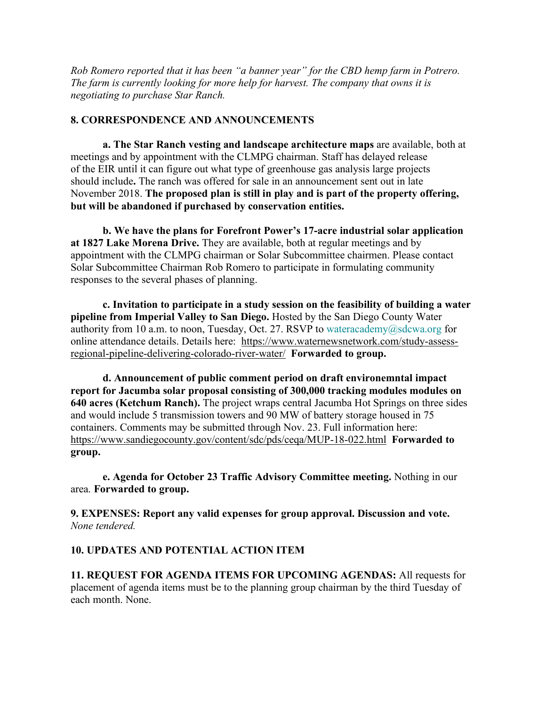*Rob Romero reported that it has been "a banner year" for the CBD hemp farm in Potrero. The farm is currently looking for more help for harvest. The company that owns it is negotiating to purchase Star Ranch.*

## **8. CORRESPONDENCE AND ANNOUNCEMENTS**

**a. The Star Ranch vesting and landscape architecture maps** are available, both at meetings and by appointment with the CLMPG chairman. Staff has delayed release of the EIR until it can figure out what type of greenhouse gas analysis large projects should include**.** The ranch was offered for sale in an announcement sent out in late November 2018. **The proposed plan is still in play and is part of the property offering, but will be abandoned if purchased by conservation entities.**

**b. We have the plans for Forefront Power's 17-acre industrial solar application at 1827 Lake Morena Drive.** They are available, both at regular meetings and by appointment with the CLMPG chairman or Solar Subcommittee chairmen. Please contact Solar Subcommittee Chairman Rob Romero to participate in formulating community responses to the several phases of planning.

**c. Invitation to participate in a study session on the feasibility of building a water pipeline from Imperial Valley to San Diego.** Hosted by the San Diego County Water authority from 10 a.m. to noon, Tuesday, Oct. 27. RSVP to wateracademy@sdcwa.org for online attendance details. Details here: https://www.waternewsnetwork.com/study-assessregional-pipeline-delivering-colorado-river-water/ **Forwarded to group.**

**d. Announcement of public comment period on draft environemntal impact report for Jacumba solar proposal consisting of 300,000 tracking modules modules on 640 acres (Ketchum Ranch).** The project wraps central Jacumba Hot Springs on three sides and would include 5 transmission towers and 90 MW of battery storage housed in 75 containers. Comments may be submitted through Nov. 23. Full information here: https://www.sandiegocounty.gov/content/sdc/pds/ceqa/MUP-18-022.html **Forwarded to group.**

**e. Agenda for October 23 Traffic Advisory Committee meeting.** Nothing in our area. **Forwarded to group.**

**9. EXPENSES: Report any valid expenses for group approval. Discussion and vote.** *None tendered.*

## **10. UPDATES AND POTENTIAL ACTION ITEM**

**11. REQUEST FOR AGENDA ITEMS FOR UPCOMING AGENDAS:** All requests for placement of agenda items must be to the planning group chairman by the third Tuesday of each month. None.